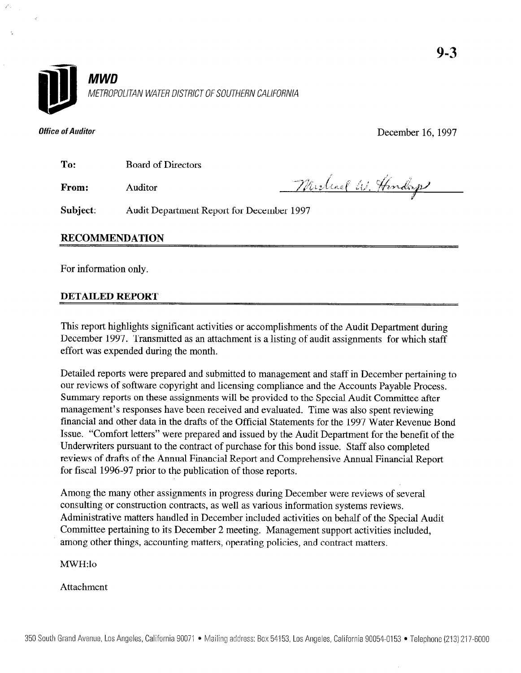



**Office of Auditor** December 16, 1997

To: Board of Directors

From: Auditor

Michael W. Henderp

Subject: Audit Department Report for December 1997

### RECOMMENDATION

For information only.

### DETAILED REPORT

This report highlights significant activities or accomplishments of the Audit Department during December 1997. Transmitted as an attachment is a listing of audit assignments for which staff effort was expended during the month.

Detailed reports were prepared and submitted to management and staff in December pertaining to our reviews of software copyright and licensing compliance and the Accounts Payable Process. Summary reports on these assignments will be provided to the Special Audit Committee after management's responses have been received and evaluated. Time was also spent reviewing financial and other data in the drafts of the Official Statements for the 1997 Water Revenue Bond Issue. "Comfort letters" were prepared and issued by the Audit Department for the benefit of the Underwriters pursuant to the contract of purchase for this bond issue. Staff also completed reviews of drafts of the Annual Financial Report and Comprehensive Annual Financial Report for fiscal 1996-97 prior to the publication of those reports.

Among the many other assignments in progress during December were reviews of several consulting or construction contracts, as well as various information systems reviews. Administrative matters handled in December included activities on behalf of the Special Audit Committee pertaining to its December 2 meeting. Management support activities included, among other things, accounting matters, operating policies, and contract matters.

### MWH:lo

Attachment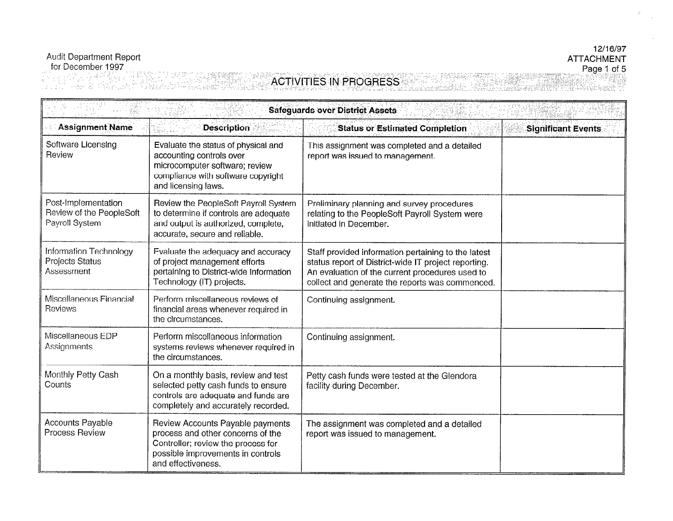### 12/16/97 **ATTACHMENT** Page 1 of 5

Audit Department Report<br>for December 1997<br>ACTIVITIES IN PROGRESS yang Pilip

| <b>Safeguards over District Assets</b>                            |                                                                                                                                                                        |                                                                                                                                                                                                                   |                           |  |
|-------------------------------------------------------------------|------------------------------------------------------------------------------------------------------------------------------------------------------------------------|-------------------------------------------------------------------------------------------------------------------------------------------------------------------------------------------------------------------|---------------------------|--|
| <b>Assignment Name</b>                                            | <b>Description</b>                                                                                                                                                     | <b>Status or Estimated Completion</b>                                                                                                                                                                             | <b>Significant Events</b> |  |
| Software Licensing<br>Review                                      | Evaluate the status of physical and<br>accounting controls over<br>microcomputer software; review<br>compliance with software copyright<br>and licensing laws.         | This assignment was completed and a detailed<br>report was issued to management.                                                                                                                                  |                           |  |
| Post-Implementation<br>Review of the PeopleSoft<br>Payroll System | Review the PeopleSoft Payroll System<br>to determine if controls are adequate<br>and output is authorized, complete,<br>accurate, secure and reliable.                 | Preliminary planning and survey procedures<br>relating to the PeopleSoft Payroll System were<br>initiated in December.                                                                                            |                           |  |
| Information Technology<br>Projects Status<br>Assessment           | Evaluate the adequacy and accuracy<br>of project management efforts<br>pertaining to District-wide Information<br>Technology (IT) projects.                            | Staff provided information pertaining to the latest<br>status report of District-wide IT project reporting.<br>An evaluation of the current procedures used to<br>collect and generate the reports was commenced. |                           |  |
| Miscellaneous Financial<br>Reviews                                | Perform miscellaneous reviews of<br>financial areas whenever required in<br>the circumstances.                                                                         | Continuing assignment.                                                                                                                                                                                            |                           |  |
| Miscellaneous EDP<br>Assignments                                  | Perform miscellaneous information<br>systems reviews whenever required in<br>the circumstances.                                                                        | Continuing assignment.                                                                                                                                                                                            |                           |  |
| Monthly Petty Cash<br>Counts                                      | On a monthly basis, review and test<br>selected petty cash funds to ensure<br>controls are adequate and funds are<br>completely and accurately recorded.               | Petty cash funds were tested at the Glendora<br>facility during December.                                                                                                                                         |                           |  |
| <b>Accounts Payable</b><br>Process Review                         | Review Accounts Payable payments<br>process and other concerns of the<br>Controller; review the process for<br>possible improvements in controls<br>and effectiveness. | The assignment was completed and a detailed<br>report was issued to management.                                                                                                                                   |                           |  |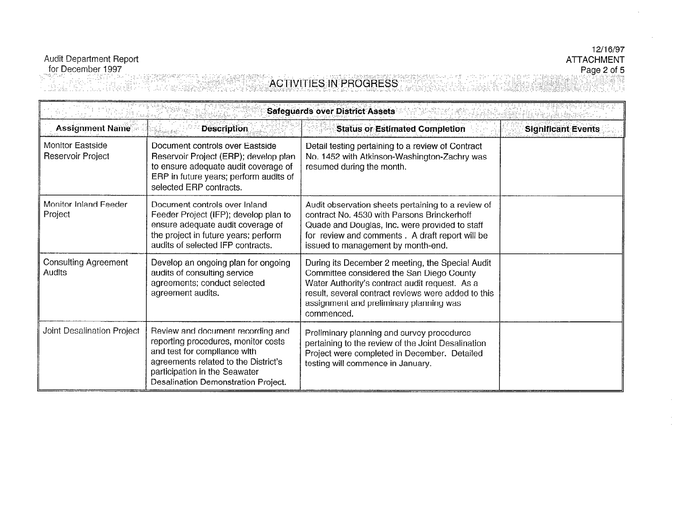# Audit Department Report<br>for December 1997

**ALL SERVICE ACTIVITIES IN PROGRESS** HTEL<sub>E</sub> vell skrypt van d<br>Societate voor de Greek unak 195

| <b>Safeguards over District Assets</b>       |                                                                                                                                                                                                                          |                                                                                                                                                                                                                                                                 |                           |
|----------------------------------------------|--------------------------------------------------------------------------------------------------------------------------------------------------------------------------------------------------------------------------|-----------------------------------------------------------------------------------------------------------------------------------------------------------------------------------------------------------------------------------------------------------------|---------------------------|
| <b>Assignment Name</b>                       | <b>Description</b>                                                                                                                                                                                                       | <b>Status or Estimated Completion</b>                                                                                                                                                                                                                           | <b>Significant Events</b> |
| <b>Monitor Eastside</b><br>Reservoir Project | Document controls over Eastside<br>Reservoir Project (ERP); develop plan<br>to ensure adequate audit coverage of<br>ERP in future years; perform audits of<br>selected ERP contracts.                                    | Detail testing pertaining to a review of Contract<br>No. 1452 with Atkinson-Washington-Zachry was<br>resumed during the month.                                                                                                                                  |                           |
| Monitor Inland Feeder<br>Project             | Document controls over Inland<br>Feeder Project (IFP); develop plan to<br>ensure adequate audit coverage of<br>the project in future years; perform<br>audits of selected IFP contracts.                                 | Audit observation sheets pertaining to a review of<br>contract No. 4530 with Parsons Brinckerhoff<br>Quade and Douglas, Inc. were provided to staff<br>for review and comments. A draft report will be<br>issued to management by month-end.                    |                           |
| <b>Consulting Agreement</b><br>Audits        | Develop an ongoing plan for ongoing<br>audits of consulting service<br>agreements; conduct selected<br>agreement audits.                                                                                                 | During its December 2 meeting, the Special Audit<br>Committee considered the San Diego County<br>Water Authority's contract audit request. As a<br>result, several contract reviews were added to this<br>assignment and preliminary planning was<br>commenced. |                           |
| Joint Desalination Project                   | Review and document recording and<br>reporting procedures, monitor costs<br>and test for compliance with<br>agreements related to the District's<br>participation in the Seawater<br>Desalination Demonstration Project. | Preliminary planning and survey procedures<br>pertaining to the review of the Joint Desalination<br>Project were completed in December. Detailed<br>testing will commence in January.                                                                           |                           |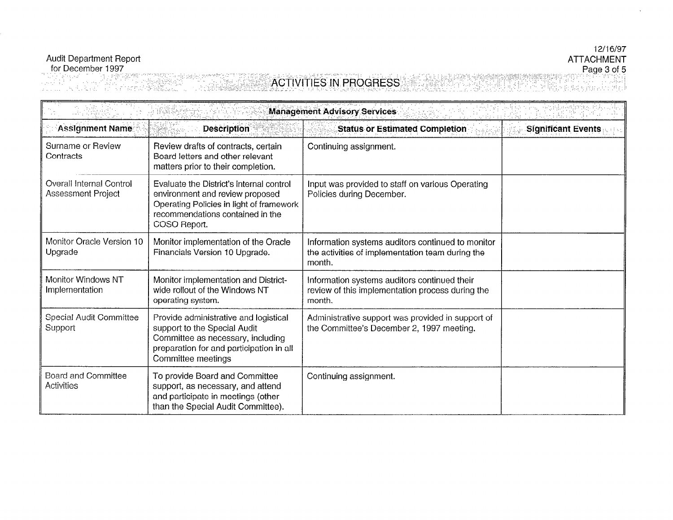## 12/16/97 **ATTACHMENT**

Audit Department Report<br>for December 1997<br>and the ACTIVITIES IN PROGRESS Page 3 of 5

| <b>Management Advisory Services</b>            |                                                                                                                                                                              |                                                                                                                 |                           |
|------------------------------------------------|------------------------------------------------------------------------------------------------------------------------------------------------------------------------------|-----------------------------------------------------------------------------------------------------------------|---------------------------|
| <b>Assignment Name</b>                         | <b>Description</b><br>w                                                                                                                                                      | <b>Status or Estimated Completion</b>                                                                           | <b>Significant Events</b> |
| Surname or Review<br>Contracts                 | Review drafts of contracts, certain<br>Board letters and other relevant<br>matters prior to their completion.                                                                | Continuing assignment.                                                                                          |                           |
| Overall Internal Control<br>Assessment Project | Evaluate the District's internal control<br>environment and review proposed<br>Operating Policies in light of framework<br>recommendations contained in the<br>COSO Report.  | Input was provided to staff on various Operating<br>Policies during December.                                   |                           |
| Monitor Oracle Version 10<br>Upgrade           | Monitor implementation of the Oracle<br>Financials Version 10 Upgrade.                                                                                                       | Information systems auditors continued to monitor<br>the activities of implementation team during the<br>month. |                           |
| Monitor Windows NT<br>Implementation           | Monitor implementation and District-<br>wide rollout of the Windows NT<br>operating system.                                                                                  | Information systems auditors continued their<br>review of this implementation process during the<br>month.      |                           |
| Special Audit Committee<br>Support             | Provide administrative and logistical<br>support to the Special Audit<br>Committee as necessary, including<br>preparation for and participation in all<br>Committee meetings | Administrative support was provided in support of<br>the Committee's December 2, 1997 meeting.                  |                           |
| Board and Committee<br>Activities              | To provide Board and Committee<br>support, as necessary, and attend<br>and participate in meetings (other<br>than the Special Audit Committee).                              | Continuing assignment.                                                                                          |                           |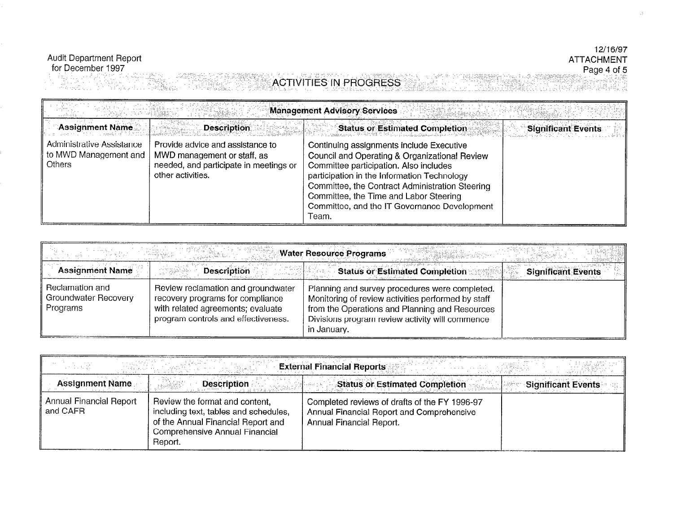# Audit Department Report<br>for December 1997

## 12/16/97 ATTACHMENT<br>Page 4 of 5 **Marie Victor**

 $\Delta$ 

TI MULLARI LARENCE DESERVA ACTIVITIES IN PROGRESS  $\mathcal{A}_{\mathcal{L} \times \mathcal{L}}$ 2536 XH

| <b>Management Advisory Services</b>                                                             |                                                                                                                                               |                                                                                                                                                                                                                                                                                                                                                                                   |                           |
|-------------------------------------------------------------------------------------------------|-----------------------------------------------------------------------------------------------------------------------------------------------|-----------------------------------------------------------------------------------------------------------------------------------------------------------------------------------------------------------------------------------------------------------------------------------------------------------------------------------------------------------------------------------|---------------------------|
| <b>Assignment Name</b><br>Administrative Assistance<br>to MWD Management and  <br><b>Others</b> | Description<br>Provide advice and assistance to<br>MWD management or staff, as<br>needed, and participate in meetings or<br>other activities. | <b>Status or Estimated Completion</b><br>Continuing assignments include Executive<br>Council and Operating & Organizational Review<br>Committee participation. Also includes<br>participation in the Information Technology<br>Committee, the Contract Administration Steering<br>Committee, the Time and Labor Steering<br>Committee, and the IT Governance Development<br>Team. | <b>Significant Events</b> |

|                                                     |                                                                                                                                                    | <b>Water Resource Programs</b>                                                                                                                                                                                           |                           |
|-----------------------------------------------------|----------------------------------------------------------------------------------------------------------------------------------------------------|--------------------------------------------------------------------------------------------------------------------------------------------------------------------------------------------------------------------------|---------------------------|
| <b>Assignment Name</b>                              | <b>Description</b>                                                                                                                                 | <b>Status or Estimated Completion</b>                                                                                                                                                                                    | <b>Significant Events</b> |
| Reclamation and<br>Groundwater Recovery<br>Programs | Review reclamation and groundwater<br>recovery programs for compliance<br>with related agreements; evaluate<br>program controls and effectiveness. | Planning and survey procedures were completed.<br>Monitoring of review activities performed by staff<br>from the Operations and Planning and Resources<br>Divisions program review activity will commence<br>in January. |                           |

| <b>External Financial Reports</b>   |                                                                                                                                                            |                                                                                                                        |                           |
|-------------------------------------|------------------------------------------------------------------------------------------------------------------------------------------------------------|------------------------------------------------------------------------------------------------------------------------|---------------------------|
| <b>Assignment Name</b>              | <b>Description</b>                                                                                                                                         | <b>Status or Estimated Completion</b>                                                                                  | <b>Significant Events</b> |
| Annual Financial Report<br>and CAFR | Review the format and content,<br>including text, tables and schedules,<br>of the Annual Financial Report and<br>Comprehensive Annual Financial<br>Report. | Completed reviews of drafts of the FY 1996-97<br>Annual Financial Report and Comprehensive<br>Annual Financial Report. |                           |